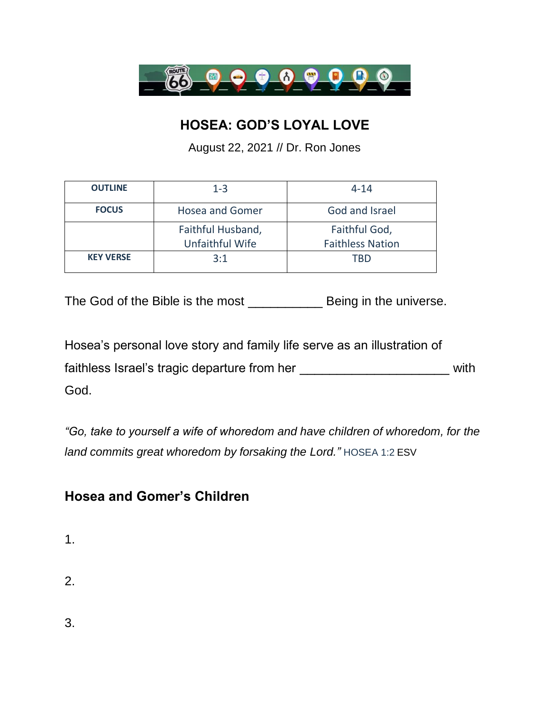

## **HOSEA: GOD'S LOYAL LOVE**

August 22, 2021 // Dr. Ron Jones

| <b>OUTLINE</b>   | $1 - 3$                              | $4 - 14$                                 |
|------------------|--------------------------------------|------------------------------------------|
| <b>FOCUS</b>     | <b>Hosea and Gomer</b>               | God and Israel                           |
|                  | Faithful Husband,<br>Unfaithful Wife | Faithful God,<br><b>Faithless Nation</b> |
| <b>KEY VERSE</b> | 3:1                                  | TRD                                      |

The God of the Bible is the most Being in the universe.

Hosea's personal love story and family life serve as an illustration of faithless Israel's tragic departure from her \_\_\_\_\_\_\_\_\_\_\_\_\_\_\_\_\_\_\_\_\_\_\_\_\_\_\_\_ with God.

*"Go, take to yourself a wife of whoredom and have children of whoredom, for the land commits great whoredom by forsaking the Lord."* HOSEA 1:2 ESV

## **Hosea and Gomer's Children**

- 1.
- 2.

3.